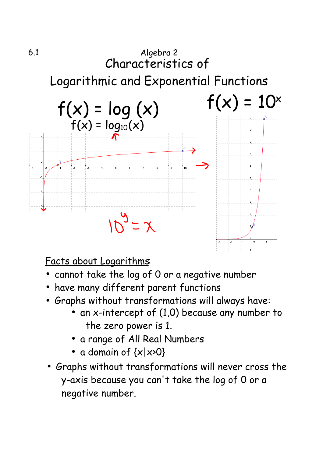

Facts about Logarithms:

- •cannot take the log of 0 or a negative number
- •have many different parent functions
- Graphs without transformations will always have:
	- an x-intercept of (1,0) because any number to the zero power is 1.
	- a range of All Real Numbers
	- a domain of  $\{x | x\ge0\}$
- Graphs without transformations will never cross the y-axis because you can't take the log of 0 or a negative number.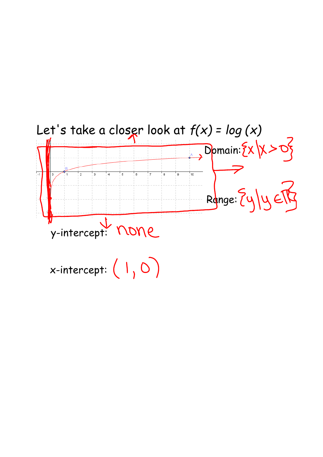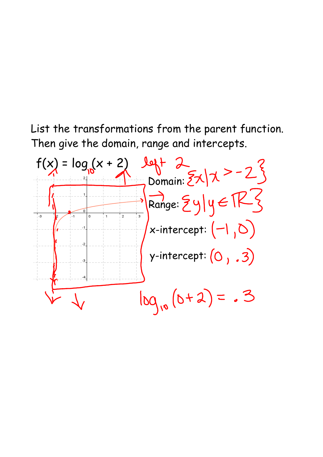List the transformations from the parent function. Then give the domain, range and intercepts.

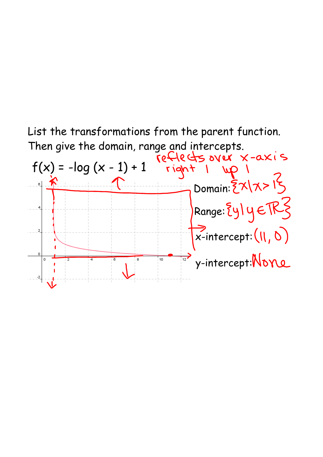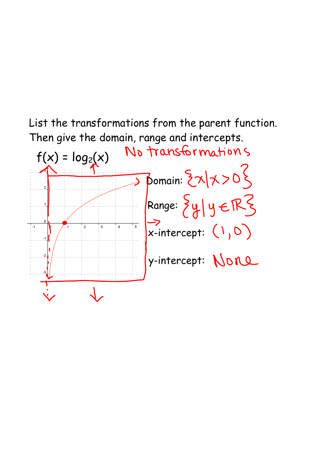

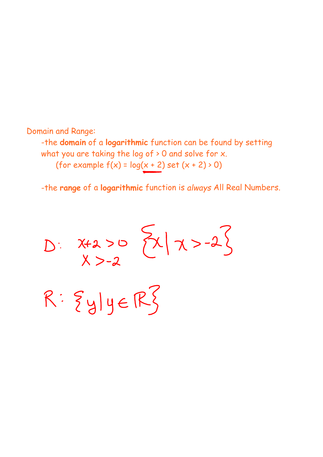## Domain and Range:

-the **domain** of a **logarithmic** function can be found by setting what you are taking the log of > 0 and solve for x. (for example  $f(x) = log(x + 2)$  set  $(x + 2) > 0$ )

-the **range** of a **logarithmic** function is *always* All Real Numbers.

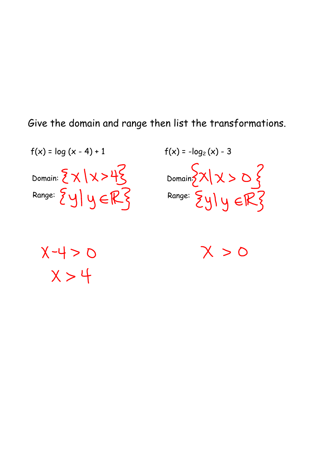Give the domain and range then list the transformations.



Domain: Range:  $f(x) = -\log_2(x) - 3$ 

 $X - 4 > 0$  $X>4$ 

 $X > 0$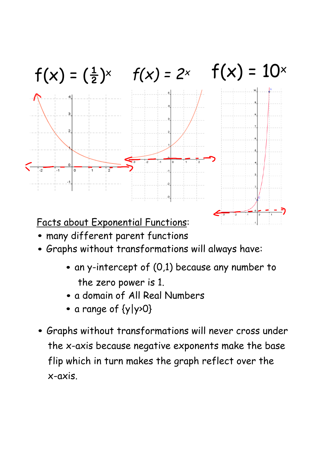

- many different parent functions
- Graphs without transformations will always have:
	- $\bullet$  an y-intercept of (0,1) because any number to the zero power is 1.
	- a domain of All Real Numbers
	- a range of {y|y>0}
- Graphs without transformations will never cross under the x-axis because negative exponents make the base flip which in turn makes the graph reflect over the x-axis.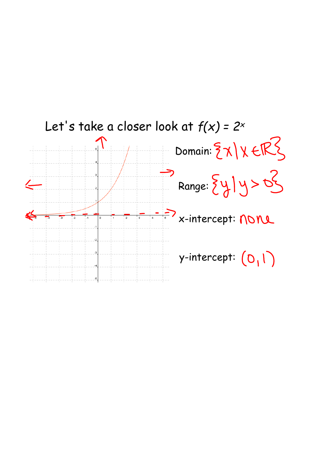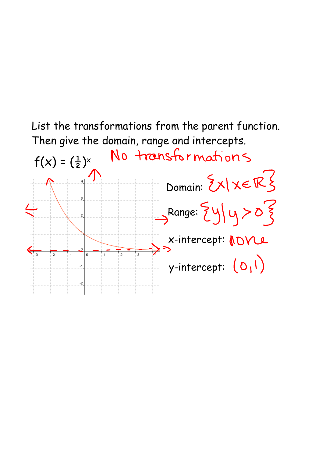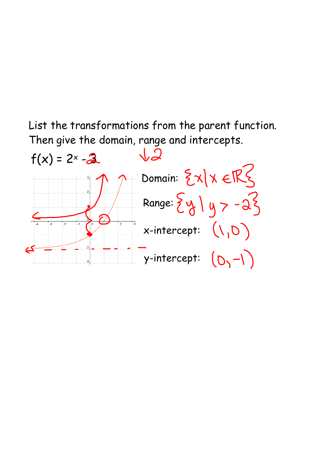List the transformations from the parent function. Then give the domain, range and intercepts.

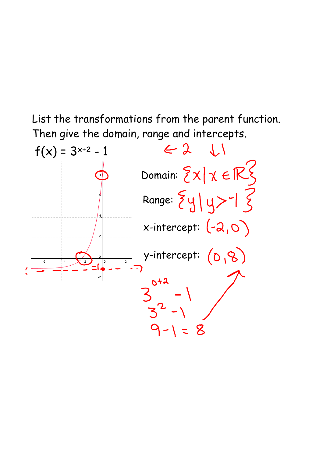List the transformations from the parent function. Then give the domain, range and intercepts.

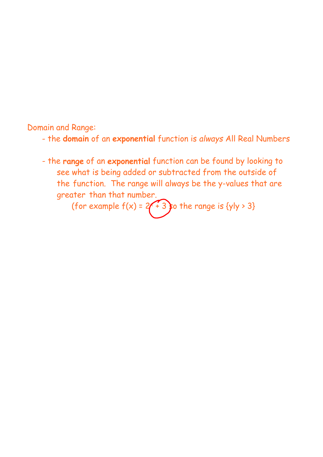Domain and Range:

- the **domain** of an **exponential** function is *always* All Real Numbers
- the **range** of an **exponential** function can be found by looking to see what is being added or subtracted from the outside of the function. The range will always be the y-values that are greater than that number.

(for example  $f(x)$  = 2 $\left($  + 3  $\right)$  the range is {y|y > 3}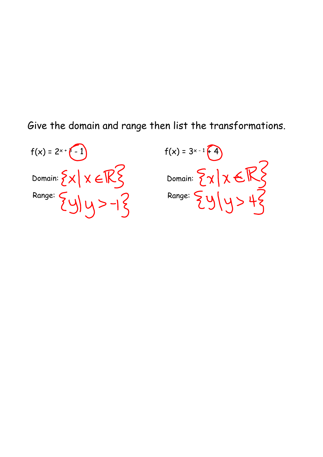Give the domain and range then list the transformations.

$$
f(x) = 2x + \boxed{-1}
$$
\nDomain:  $\{x \mid x \in \mathbb{R}\}$ 

\nRange:  $\{y \mid y > -1\}$ 

$$
f(x) = 3^{x-1}\left(4\right)
$$
\nDomain:  $\left\{\chi\middle| \chi \in \mathbb{R}\right\}$ 

\nRange:  $\left\{\frac{y}{y} \mid y > 4\right\}$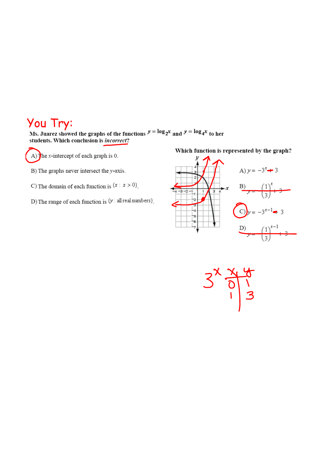You Try:<br>Ms. Juarez showed the graphs of the functions  $y = \log_2 x$  and  $y = \log_4 x$  to her students. Which conclusion is *incorrect*?

A) The *x*-intercept of each graph is 0.

B) The graphs never intersect the  $y$ -axis.

C) The domain of each function is  $\{x : x > 0\}$ .

D) The range of each function is  $\langle y : \text{all real numbers} \rangle$ .

Which function is represented by the graph?



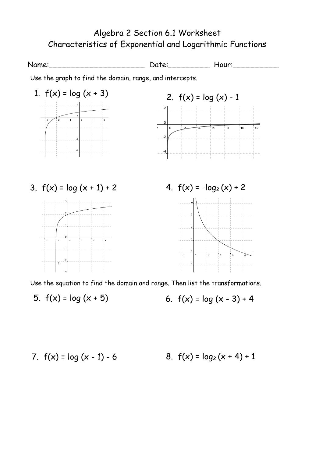## Algebra 2 Section 6.1 Worksheet Characteristics of Exponential and Logarithmic Functions

Name: \_\_\_\_\_\_\_\_\_\_\_\_\_\_\_\_\_\_\_\_\_\_\_\_\_\_\_\_\_\_\_\_\_ Date: \_\_\_\_\_\_\_\_\_\_\_\_\_\_\_ Hour:\_\_\_\_\_\_\_\_\_\_\_\_\_ Use the graph to find the domain, range, and intercepts. 1.  $f(x) = log(x + 3)$ 2.  $f(x) = log(x) - 1$  $2 \mid$  $10$  $\overline{\phantom{0}}$  $12$  $\cdot$ 2 3.  $f(x) = \log(x + 1) + 2$  4.  $f(x) = -\log_2(x) + 2$  $\overline{z}$ Use the equation to find the domain and range. Then list the transformations.

5.  $f(x) = log(x + 5)$ 

6. 
$$
f(x) = \log(x - 3) + 4
$$

7. 
$$
f(x) = \log(x - 1) - 6
$$
 8.  $f(x) = \log_2(x + 4) + 1$ 

8. 
$$
f(x) = log_2(x + 4) + 1
$$